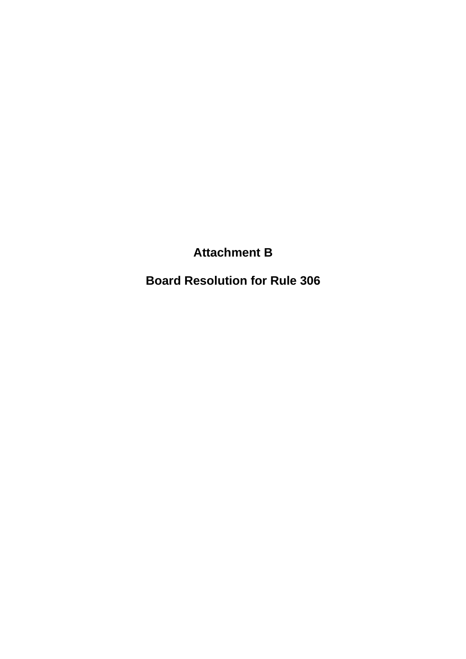**Attachment B**

**Board Resolution for Rule 306**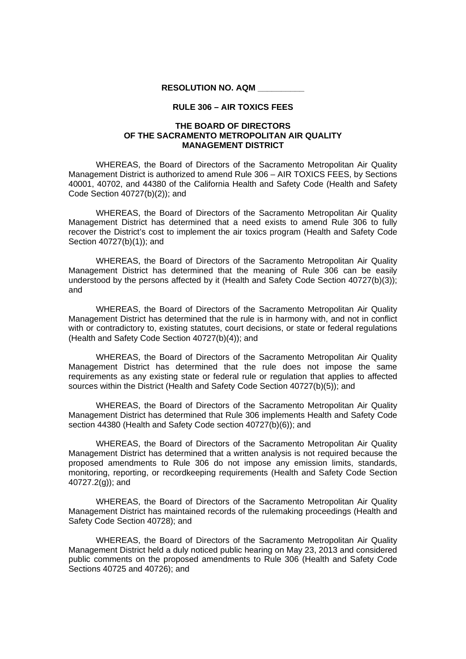**RESOLUTION NO. AQM \_\_\_\_\_\_\_\_\_\_**

## **RULE 306 – AIR TOXICS FEES**

## **THE BOARD OF DIRECTORS OF THE SACRAMENTO METROPOLITAN AIR QUALITY MANAGEMENT DISTRICT**

WHEREAS, the Board of Directors of the Sacramento Metropolitan Air Quality Management District is authorized to amend Rule 306 – AIR TOXICS FEES, by Sections 40001, 40702, and 44380 of the California Health and Safety Code (Health and Safety Code Section 40727(b)(2)); and

WHEREAS, the Board of Directors of the Sacramento Metropolitan Air Quality Management District has determined that a need exists to amend Rule 306 to fully recover the District's cost to implement the air toxics program (Health and Safety Code Section 40727(b)(1)); and

WHEREAS, the Board of Directors of the Sacramento Metropolitan Air Quality Management District has determined that the meaning of Rule 306 can be easily understood by the persons affected by it (Health and Safety Code Section 40727(b)(3)); and

WHEREAS, the Board of Directors of the Sacramento Metropolitan Air Quality Management District has determined that the rule is in harmony with, and not in conflict with or contradictory to, existing statutes, court decisions, or state or federal regulations (Health and Safety Code Section 40727(b)(4)); and

WHEREAS, the Board of Directors of the Sacramento Metropolitan Air Quality Management District has determined that the rule does not impose the same requirements as any existing state or federal rule or regulation that applies to affected sources within the District (Health and Safety Code Section 40727(b)(5)); and

WHEREAS, the Board of Directors of the Sacramento Metropolitan Air Quality Management District has determined that Rule 306 implements Health and Safety Code section 44380 (Health and Safety Code section 40727(b)(6)); and

WHEREAS, the Board of Directors of the Sacramento Metropolitan Air Quality Management District has determined that a written analysis is not required because the proposed amendments to Rule 306 do not impose any emission limits, standards, monitoring, reporting, or recordkeeping requirements (Health and Safety Code Section 40727.2(g)); and

WHEREAS, the Board of Directors of the Sacramento Metropolitan Air Quality Management District has maintained records of the rulemaking proceedings (Health and Safety Code Section 40728); and

WHEREAS, the Board of Directors of the Sacramento Metropolitan Air Quality Management District held a duly noticed public hearing on May 23, 2013 and considered public comments on the proposed amendments to Rule 306 (Health and Safety Code Sections 40725 and 40726); and